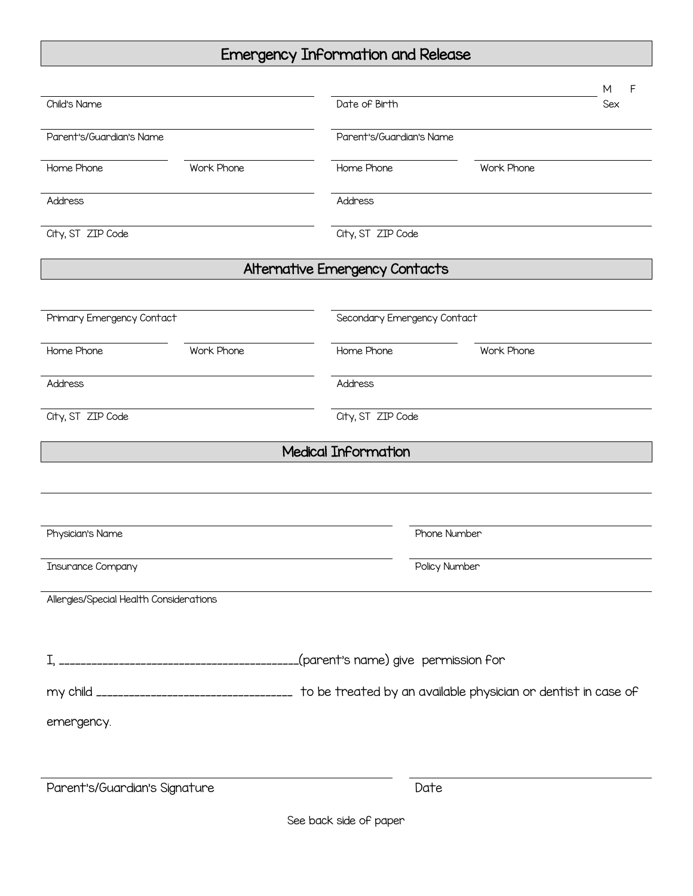## Emergency Information and Release

|                                                                                                         |            |                                |                             | F<br>м |
|---------------------------------------------------------------------------------------------------------|------------|--------------------------------|-----------------------------|--------|
| Child's Name                                                                                            |            | Date of Birth                  |                             | Sex    |
| Parent's/Guardian's Name                                                                                |            | Parent's/Guardian's Name       |                             |        |
| Home Phone                                                                                              | Work Phone | Home Phone                     | Work Phone                  |        |
| Address                                                                                                 |            | Address                        |                             |        |
| City, ST ZIP Code                                                                                       |            | City, ST ZIP Code              |                             |        |
|                                                                                                         |            | Alternative Emergency Contacts |                             |        |
| Primary Emergency Contact                                                                               |            |                                | Secondary Emergency Contact |        |
| Home Phone                                                                                              | Work Phone | Home Phone                     | Work Phone                  |        |
| Address                                                                                                 |            | Address                        |                             |        |
| City, ST ZIP Code                                                                                       |            | City, ST ZIP Code              |                             |        |
|                                                                                                         |            | <b>Medical Information</b>     |                             |        |
|                                                                                                         |            |                                |                             |        |
|                                                                                                         |            |                                |                             |        |
| Physician's Name                                                                                        |            |                                | Phone Number                |        |
| <b>Insurance Company</b>                                                                                |            |                                | Policy Number               |        |
| Allergies/Special Health Considerations                                                                 |            |                                |                             |        |
|                                                                                                         |            |                                |                             |        |
|                                                                                                         |            |                                |                             |        |
| my child ________________________________ to be treated by an available physician or dentist in case of |            |                                |                             |        |
| emergency.                                                                                              |            |                                |                             |        |
|                                                                                                         |            |                                |                             |        |
| Parent's/Guardian's Signature                                                                           |            |                                | Date                        |        |
|                                                                                                         |            | See back side of paper         |                             |        |